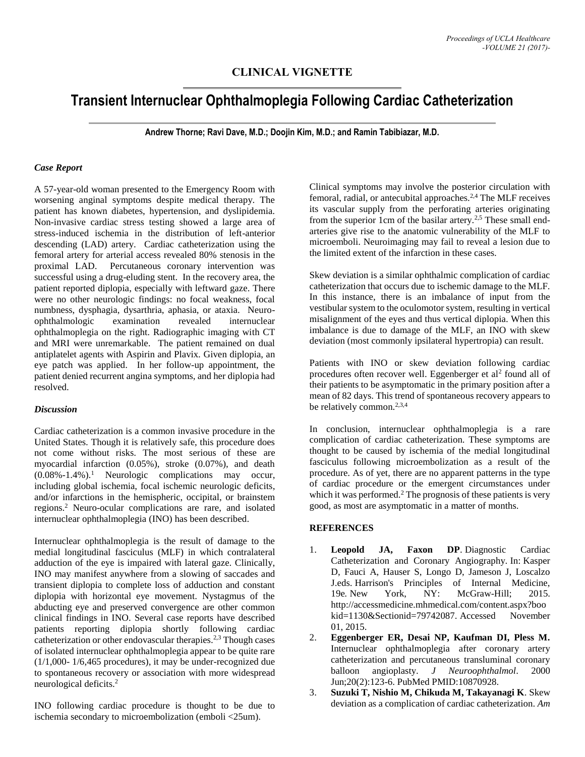# **CLINICAL VIGNETTE**

# **Transient Internuclear Ophthalmoplegia Following Cardiac Catheterization**

**Andrew Thorne; Ravi Dave, M.D.; Doojin Kim, M.D.; and Ramin Tabibiazar, M.D.**

## *Case Report*

A 57-year-old woman presented to the Emergency Room with worsening anginal symptoms despite medical therapy. The patient has known diabetes, hypertension, and dyslipidemia. Non-invasive cardiac stress testing showed a large area of stress-induced ischemia in the distribution of left-anterior descending (LAD) artery. Cardiac catheterization using the femoral artery for arterial access revealed 80% stenosis in the proximal LAD. Percutaneous coronary intervention was successful using a drug-eluding stent. In the recovery area, the patient reported diplopia, especially with leftward gaze. There were no other neurologic findings: no focal weakness, focal numbness, dysphagia, dysarthria, aphasia, or ataxia. Neuroophthalmologic examination revealed internuclear ophthalmoplegia on the right. Radiographic imaging with CT and MRI were unremarkable. The patient remained on dual antiplatelet agents with Aspirin and Plavix. Given diplopia, an eye patch was applied. In her follow-up appointment, the patient denied recurrent angina symptoms, and her diplopia had resolved.

## *Discussion*

Cardiac catheterization is a common invasive procedure in the United States. Though it is relatively safe, this procedure does not come without risks. The most serious of these are myocardial infarction (0.05%), stroke (0.07%), and death (0.08%-1.4%).<sup>1</sup> Neurologic complications may occur, including global ischemia, focal ischemic neurologic deficits, and/or infarctions in the hemispheric, occipital, or brainstem regions. <sup>2</sup> Neuro-ocular complications are rare, and isolated internuclear ophthalmoplegia (INO) has been described.

Internuclear ophthalmoplegia is the result of damage to the medial longitudinal fasciculus (MLF) in which contralateral adduction of the eye is impaired with lateral gaze. Clinically, INO may manifest anywhere from a slowing of saccades and transient diplopia to complete loss of adduction and constant diplopia with horizontal eye movement. Nystagmus of the abducting eye and preserved convergence are other common clinical findings in INO. Several case reports have described patients reporting diplopia shortly following cardiac catheterization or other endovascular therapies.2,3 Though cases of isolated internuclear ophthalmoplegia appear to be quite rare (1/1,000- 1/6,465 procedures), it may be under-recognized due to spontaneous recovery or association with more widespread neurological deficits.<sup>2</sup>

INO following cardiac procedure is thought to be due to ischemia secondary to microembolization (emboli <25um).

Clinical symptoms may involve the posterior circulation with femoral, radial, or antecubital approaches. 2,4 The MLF receives its vascular supply from the perforating arteries originating from the superior 1cm of the basilar artery.<sup>2,5</sup> These small endarteries give rise to the anatomic vulnerability of the MLF to microemboli. Neuroimaging may fail to reveal a lesion due to the limited extent of the infarction in these cases.

Skew deviation is a similar ophthalmic complication of cardiac catheterization that occurs due to ischemic damage to the MLF. In this instance, there is an imbalance of input from the vestibular system to the oculomotor system, resulting in vertical misalignment of the eyes and thus vertical diplopia. When this imbalance is due to damage of the MLF, an INO with skew deviation (most commonly ipsilateral hypertropia) can result.

Patients with INO or skew deviation following cardiac procedures often recover well. Eggenberger et al<sup>2</sup> found all of their patients to be asymptomatic in the primary position after a mean of 82 days. This trend of spontaneous recovery appears to be relatively common.<sup>2,3,4</sup>

In conclusion, internuclear ophthalmoplegia is a rare complication of cardiac catheterization. These symptoms are thought to be caused by ischemia of the medial longitudinal fasciculus following microembolization as a result of the procedure. As of yet, there are no apparent patterns in the type of cardiac procedure or the emergent circumstances under which it was performed.<sup>2</sup> The prognosis of these patients is very good, as most are asymptomatic in a matter of months.

## **REFERENCES**

- 1. **Leopold JA, Faxon DP**. Diagnostic Cardiac Catheterization and Coronary Angiography. In: Kasper D, Fauci A, Hauser S, Longo D, Jameson J, Loscalzo J.eds. Harrison's Principles of Internal Medicine, 19e*.* New York, NY: McGraw-Hill; 2015. http://accessmedicine.mhmedical.com/content.aspx?boo kid=1130&Sectionid=79742087. Accessed November 01, 2015.
- 2. **Eggenberger ER, Desai NP, Kaufman DI, Pless M.** Internuclear ophthalmoplegia after coronary artery catheterization and percutaneous transluminal coronary balloon angioplasty. *J Neuroophthalmol*. 2000 Jun;20(2):123-6. PubMed PMID:10870928.
- 3. **Suzuki T, Nishio M, Chikuda M, Takayanagi K**. Skew deviation as a complication of cardiac catheterization. *Am*